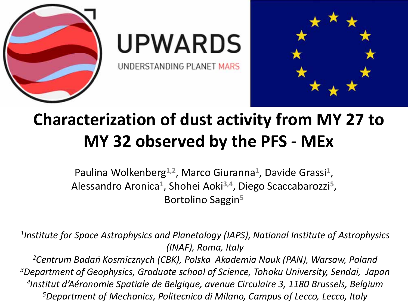

# **UPWARDS**

UNDERSTANDING PLANET MARS



## **Characterization of dust activity from MY 27 to MY 32 observed by the PFS ‐ MEx**

Paulina Wolkenberg**1,2**, Marco Giuranna**<sup>1</sup>**, Davide Grassi**<sup>1</sup>**, Alessandro Aronica**<sup>1</sup>**, Shohei Aoki**3,4**, Diego Scaccabarozzi**<sup>5</sup>**, Bortolino Saggin**<sup>5</sup>**

*1Institute for Space Astrophysics and Planetology (IAPS), National Institute of Astrophysics (INAF), Roma, Italy*

*2Centrum Badań Kosmicznych (CBK), Polska Akademia Nauk (PAN), Warsaw, Poland 3Department of Geophysics, Graduate school of Science, Tohoku University, Sendai, Japan 4Institut d'Aéronomie Spatiale de Belgique, avenue Circulaire 3, 1180 Brussels, Belgium 5Department of Mechanics, Politecnico di Milano, Campus of Lecco, Lecco, Italy*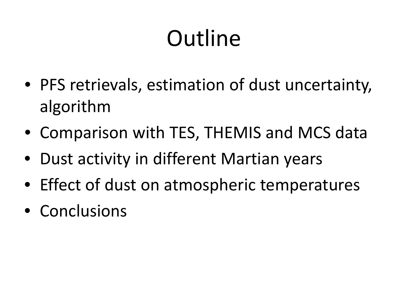## **Outline**

- PFS retrievals, estimation of dust uncertainty, algorithm
- Comparison with TES, THEMIS and MCS data
- Dust activity in different Martian years
- Effect of dust on atmospheric temperatures
- Conclusions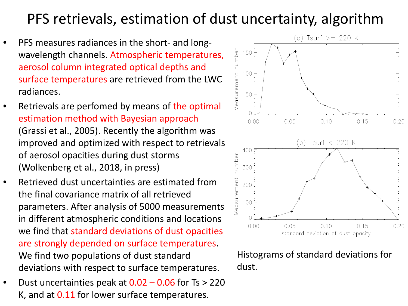### PFS retrievals, estimation of dust uncertainty, algorithm

- •● PFS measures radiances in the short- and longwavelength channels. Atmospheric temperatures, aerosol column integrated optical depths and surface temperatures are retrieved from the LWC radiances.
- •• Retrievals are perfomed by means of the optimal estimation method with Bayesian approach (Grassi et al., 2005). Recently the algorithm was improved and optimized with respect to retrievals of aerosol opacities during dust storms (Wolkenberg et al., 2018, in press)
- • Retrieved dust uncertainties are estimated fromthe final covariance matrix of all retrievedparameters. After analysis of 5000 measurements in different atmospheric conditions and locations we find that standard deviations of dust opacities are strongly depended on surface temperatures. We find two populations of dust standard deviations with respect to surface temperatures.
- •Dust uncertainties peak at  $0.02 - 0.06$  for Ts  $> 220$ K, and at  $0.11$  for lower surface temperatures.



Histograms of standard deviations for dust.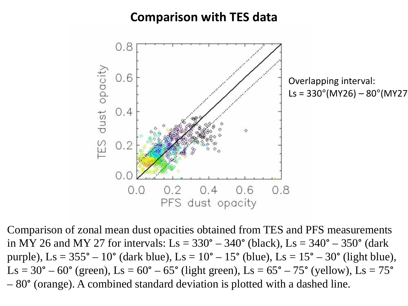### **Comparison with TES data**



Comparison of zonal mean dust opacities obtained from TES and PFS measurements in MY 26 and MY 27 for intervals:  $Ls = 330^{\circ} - 340^{\circ}$  (black),  $Ls = 340^{\circ} - 350^{\circ}$  (dark) purple),  $\text{Ls} = 355^{\circ} - 10^{\circ}$  (dark blue),  $\text{Ls} = 10^{\circ} - 15^{\circ}$  (blue),  $\text{Ls} = 15^{\circ} - 30^{\circ}$  (light blue),  $\text{Ls} = 30^{\circ} - 60^{\circ}$  (green),  $\text{Ls} = 60^{\circ} - 65^{\circ}$  (light green),  $\text{Ls} = 65^{\circ} - 75^{\circ}$  (yellow),  $\text{Ls} = 75^{\circ}$ – 80° (orange). A combined standard deviation is plotted with a dashed line.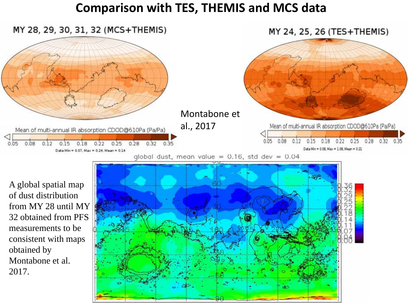#### **Comparison with TES, THEMIS and MCS data**

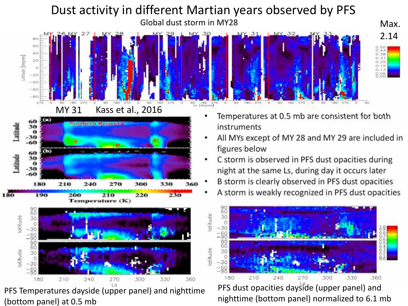#### Dust activity in different Martian years observed by PFS Global dust storm in MY28 and the control of the Max. 2.14BC 60  $0.50$  $4C$  $O.38$ otitude [degree]  $0.31$  $20$ O  $-20$  $-40$  $-60$  $-BC$ [degree]





PFS Temperatures dayside (upper panel) and nighttime (bottom panel) at 0.5 mb

- • Temperatures at 0.5 mb are consistent for both instruments
- • All MYs except of MY 28 and MY 29 are included in figures below
- • C storm is observed in PFS dust opacities during night at the same Ls, during day it occurs later
- •B storm is clearly observed in PFS dust opacities
- •A storm is weakly recognized in PFS dust opacities



PFS dust opacities dayside (upper panel) and nighttime (bottom panel) normalized to 6.1 mb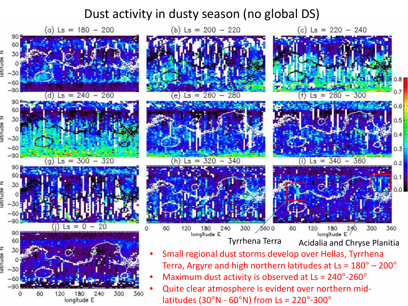#### Dust activity in dusty season (no global DS)

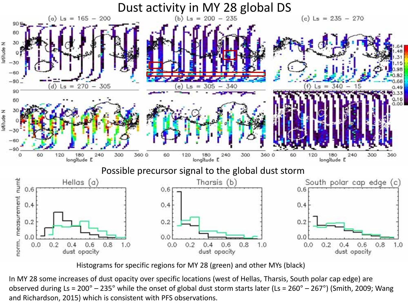

Histograms for specific regions for MY 28 (green) and other MYs (black)

In MY 28 some increases of dust opacity over specific locations (west of Hellas, Tharsis, South polar cap edge) are observed during Ls <sup>=</sup> 200° – 235° while the onset of global dust storm starts later (Ls <sup>=</sup> 260° – 267°) (Smith, 2009; Wang and Richardson, 2015) which is consistent with PFS observations.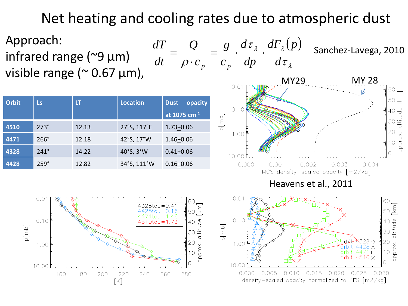Net heating and cooling rates due to atmospheric dust

1.00

10.00

0.000

0.005

*c*

*Q*

Î

*dt*

 $=$ 



| <b>Orbit</b> | <b>Ls</b>   | LT    | <b>Location</b> | opacity<br><b>Dust</b> |
|--------------|-------------|-------|-----------------|------------------------|
|              |             |       |                 | at 1075 $cm-1$         |
| 4510         | $273^\circ$ | 12.13 | 27°S, 117°E     | $1.73 + 0.06$          |
| 4471         | $266^\circ$ | 12.18 | 42°S, 17°W      | $1.46 + 0.06$          |
| 4328         | $241^\circ$ | 14.22 | 40°S, 3°W       | $0.41 + 0.06$          |
| 4428         | $259^\circ$ | 12.82 | 34°S, 111°W     | $0.16 + 0.06$          |



20

 $\frac{3}{3}10$ 

0.030

4428.  $\triangle$ 

4471  $\Box$ 

4510  $\times$ 

orbit

0.010 0.015 0.020 0.025

density-scaled opacity normalized to PFS [m2/kg]

approx.

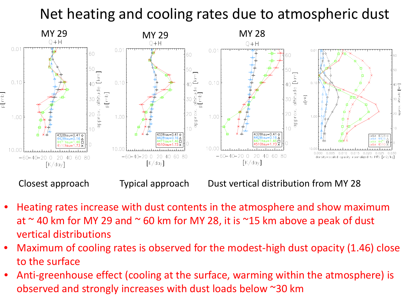### Net heating and cooling rates due to atmospheric dust



- • Heating rates increase with dust contents in the atmosphere and show maximum at  $\sim$  40 km for MY 29 and  $\sim$  60 km for MY 28, it is  $\sim$ 15 km above a peak of dust vertical distributions
- • Maximum of cooling rates is observed for the modest‐high dust opacity (1.46) close to the surface
- • Anti‐greenhouse effect (cooling at the surface, warming within the atmosphere) is observed and strongly increases with dust loads below ~30 km